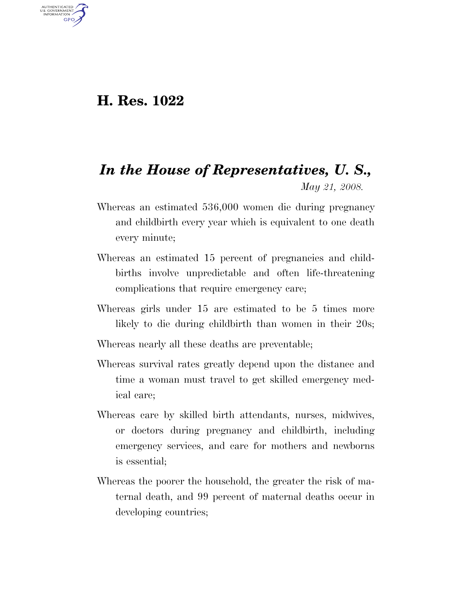## **H. Res. 1022**

AUTHENTICATED<br>U.S. GOVERNMENT<br>INFORMATION **GPO** 

## *In the House of Representatives, U. S., May 21, 2008.*

- Whereas an estimated 536,000 women die during pregnancy and childbirth every year which is equivalent to one death every minute;
- Whereas an estimated 15 percent of pregnancies and childbirths involve unpredictable and often life-threatening complications that require emergency care;
- Whereas girls under 15 are estimated to be 5 times more likely to die during childbirth than women in their 20s;
- Whereas nearly all these deaths are preventable;
- Whereas survival rates greatly depend upon the distance and time a woman must travel to get skilled emergency medical care;
- Whereas care by skilled birth attendants, nurses, midwives, or doctors during pregnancy and childbirth, including emergency services, and care for mothers and newborns is essential;
- Whereas the poorer the household, the greater the risk of maternal death, and 99 percent of maternal deaths occur in developing countries;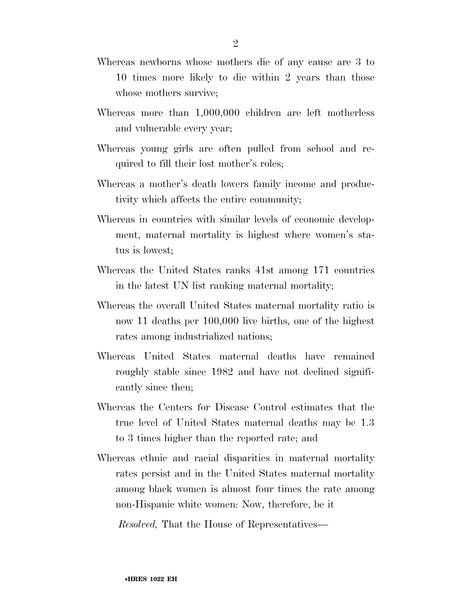- Whereas newborns whose mothers die of any cause are 3 to 10 times more likely to die within 2 years than those whose mothers survive;
- Whereas more than 1,000,000 children are left motherless and vulnerable every year;
- Whereas young girls are often pulled from school and required to fill their lost mother's roles;
- Whereas a mother's death lowers family income and productivity which affects the entire community;
- Whereas in countries with similar levels of economic development, maternal mortality is highest where women's status is lowest;
- Whereas the United States ranks 41st among 171 countries in the latest UN list ranking maternal mortality;
- Whereas the overall United States maternal mortality ratio is now 11 deaths per 100,000 live births, one of the highest rates among industrialized nations;
- Whereas United States maternal deaths have remained roughly stable since 1982 and have not declined significantly since then;
- Whereas the Centers for Disease Control estimates that the true level of United States maternal deaths may be 1.3 to 3 times higher than the reported rate; and
- Whereas ethnic and racial disparities in maternal mortality rates persist and in the United States maternal mortality among black women is almost four times the rate among non-Hispanic white women: Now, therefore, be it

*Resolved,* That the House of Representatives—